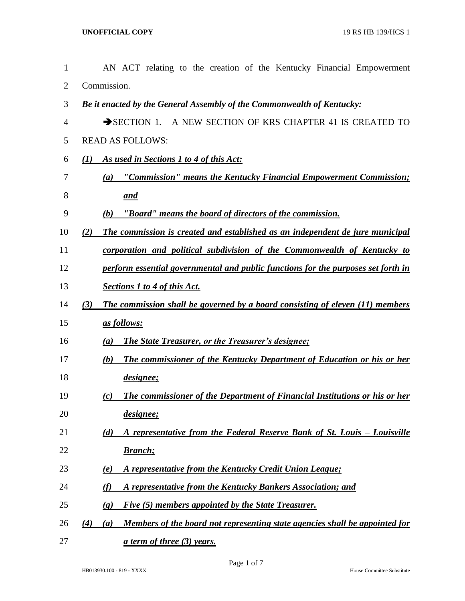| 1              | AN ACT relating to the creation of the Kentucky Financial Empowerment                     |
|----------------|-------------------------------------------------------------------------------------------|
| $\overline{2}$ | Commission.                                                                               |
| 3              | Be it enacted by the General Assembly of the Commonwealth of Kentucky:                    |
| 4              | SECTION 1. A NEW SECTION OF KRS CHAPTER 41 IS CREATED TO                                  |
| 5              | <b>READ AS FOLLOWS:</b>                                                                   |
| 6              | As used in Sections 1 to 4 of this Act:<br>(I)                                            |
| 7              | "Commission" means the Kentucky Financial Empowerment Commission;<br>(a)                  |
| 8              | <u>and</u>                                                                                |
| 9              | "Board" means the board of directors of the commission.<br>(b)                            |
| 10             | The commission is created and established as an independent de jure municipal<br>(2)      |
| 11             | corporation and political subdivision of the Commonwealth of Kentucky to                  |
| 12             | perform essential governmental and public functions for the purposes set forth in         |
| 13             | <b>Sections 1 to 4 of this Act.</b>                                                       |
| 14             | The commission shall be governed by a board consisting of eleven (11) members<br>(3)      |
| 15             | as follows:                                                                               |
| 16             | <b>The State Treasurer, or the Treasurer's designee;</b><br>(a)                           |
| 17             | The commissioner of the Kentucky Department of Education or his or her<br>(b)             |
| 18             | designee;                                                                                 |
| 19             | The commissioner of the Department of Financial Institutions or his or her<br>(c)         |
| 20             | designee;                                                                                 |
| 21             | A representative from the Federal Reserve Bank of St. Louis - Louisville<br>(d)           |
| 22             | <b>Branch</b> ;                                                                           |
| 23             | A representative from the Kentucky Credit Union League;<br>(e)                            |
| 24             | A representative from the Kentucky Bankers Association; and<br>(f)                        |
| 25             | Five (5) members appointed by the State Treasurer.<br>$\left( \mathbf{g} \right)$         |
| 26             | Members of the board not representing state agencies shall be appointed for<br>(4)<br>(a) |
| 27             | <u>a term of three (3) years.</u>                                                         |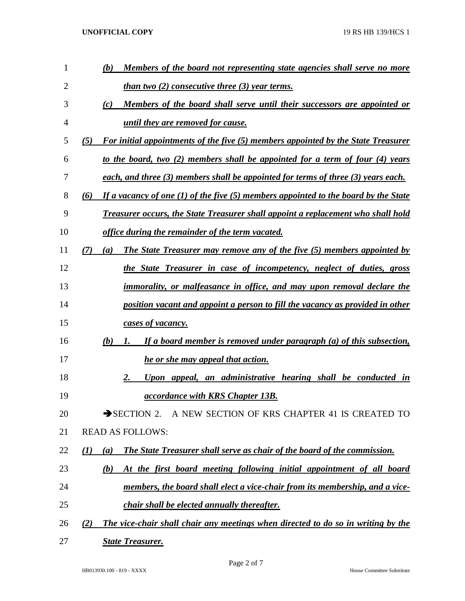**UNOFFICIAL COPY** 19 RS HB 139/HCS 1

| 1  | Members of the board not representing state agencies shall serve no more<br>(b)                 |
|----|-------------------------------------------------------------------------------------------------|
| 2  | <u>than two (2) consecutive three (3) year terms.</u>                                           |
| 3  | (c)<br>Members of the board shall serve until their successors are appointed or                 |
| 4  | until they are removed for cause.                                                               |
| 5  | For initial appointments of the five (5) members appointed by the State Treasurer<br>(5)        |
| 6  | <u>to the board, two (2) members shall be appointed for a term of four (4) years</u>            |
| 7  | each, and three (3) members shall be appointed for terms of three (3) years each.               |
| 8  | If a vacancy of one $(1)$ of the five $(5)$ members appointed to the board by the State<br>(6)  |
| 9  | <b>Treasurer occurs, the State Treasurer shall appoint a replacement who shall hold</b>         |
| 10 | <u>office during the remainder of the term vacated.</u>                                         |
| 11 | <b>The State Treasurer may remove any of the five (5) members appointed by</b><br>(7)<br>(a)    |
| 12 | the State Treasurer in case of incompetency, neglect of duties, gross                           |
| 13 | <i>immorality, or malfeasance in office, and may upon removal declare the</i>                   |
| 14 | position vacant and appoint a person to fill the vacancy as provided in other                   |
| 15 | cases of vacancy.                                                                               |
| 16 | If a board member is removed under paragraph (a) of this subsection,<br>(b)<br>1.               |
| 17 | he or she may appeal that action.                                                               |
| 18 | Upon appeal, an administrative hearing shall be conducted in<br>2.                              |
| 19 | <i>accordance with KRS Chapter 13B.</i>                                                         |
| 20 | SECTION 2. A NEW SECTION OF KRS CHAPTER 41 IS CREATED TO                                        |
| 21 | <b>READ AS FOLLOWS:</b>                                                                         |
| 22 | The State Treasurer shall serve as chair of the board of the commission.<br>$\mathbf{U}$<br>(a) |
| 23 | At the first board meeting following initial appointment of all board<br>(b)                    |
| 24 | members, the board shall elect a vice-chair from its membership, and a vice-                    |
| 25 | <i>chair shall be elected annually thereafter.</i>                                              |
| 26 | The vice-chair shall chair any meetings when directed to do so in writing by the<br>(2)         |
| 27 | <b>State Treasurer.</b>                                                                         |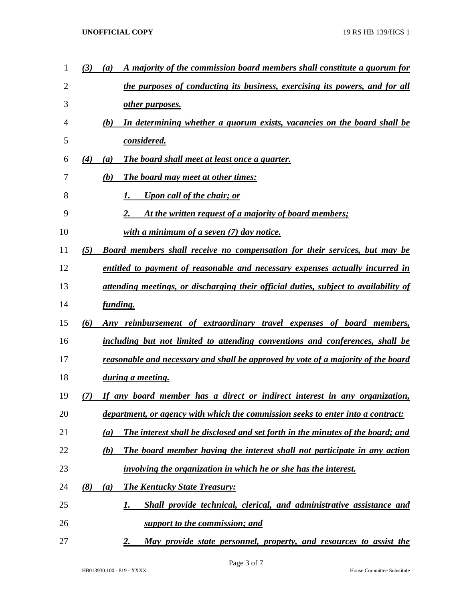| 1  | (3) | A majority of the commission board members shall constitute a quorum for<br>$\left(a\right)$ |
|----|-----|----------------------------------------------------------------------------------------------|
| 2  |     | the purposes of conducting its business, exercising its powers, and for all                  |
| 3  |     | other purposes.                                                                              |
| 4  |     | In determining whether a quorum exists, vacancies on the board shall be<br>(b)               |
| 5  |     | considered.                                                                                  |
| 6  | (4) | The board shall meet at least once a quarter.<br>(a)                                         |
| 7  |     | (b)<br><b>The board may meet at other times:</b>                                             |
| 8  |     | <b>Upon call of the chair; or</b>                                                            |
| 9  |     | At the written request of a majority of board members;<br>2.                                 |
| 10 |     | with a minimum of a seven $(7)$ day notice.                                                  |
| 11 | (5) | <b>Board members shall receive no compensation for their services, but may be</b>            |
| 12 |     | entitled to payment of reasonable and necessary expenses actually incurred in                |
| 13 |     | <u>attending meetings, or discharging their official duties, subject to availability of</u>  |
| 14 |     | <i>funding.</i>                                                                              |
| 15 | (6) | Any reimbursement of extraordinary travel expenses of board members,                         |
| 16 |     | including but not limited to attending conventions and conferences, shall be                 |
| 17 |     | <u>reasonable and necessary and shall be approved by vote of a majority of the board</u>     |
| 18 |     | during a meeting.                                                                            |
| 19 | (7) | If any board member has a direct or indirect interest in any organization,                   |
| 20 |     | department, or agency with which the commission seeks to enter into a contract:              |
| 21 |     | The interest shall be disclosed and set forth in the minutes of the board; and<br>(a)        |
| 22 |     | The board member having the interest shall not participate in any action<br>(b)              |
| 23 |     | involving the organization in which he or she has the interest.                              |
| 24 | (8) | <b>The Kentucky State Treasury:</b><br>(a)                                                   |
| 25 |     | Shall provide technical, clerical, and administrative assistance and<br>1.                   |
| 26 |     | support to the commission; and                                                               |
| 27 |     | May provide state personnel, property, and resources to assist the<br><u>2.</u>              |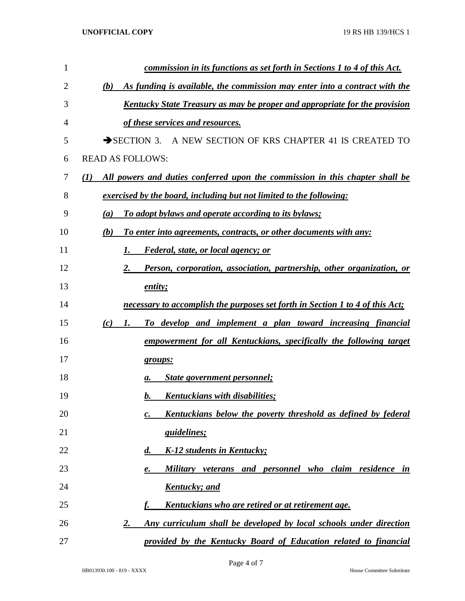| $\mathbf{1}$   | <u>commission in its functions as set forth in Sections 1 to 4 of this Act.</u>     |
|----------------|-------------------------------------------------------------------------------------|
| $\overline{2}$ | As funding is available, the commission may enter into a contract with the<br>(b)   |
| 3              | <u>Kentucky State Treasury as may be proper and appropriate for the provision</u>   |
| 4              | of these services and resources.                                                    |
| 5              | SECTION 3. A NEW SECTION OF KRS CHAPTER 41 IS CREATED TO                            |
| 6              | <b>READ AS FOLLOWS:</b>                                                             |
| 7              | All powers and duties conferred upon the commission in this chapter shall be<br>(1) |
| 8              | exercised by the board, including but not limited to the following:                 |
| 9              | To adopt bylaws and operate according to its bylaws;<br>(a)                         |
| 10             | To enter into agreements, contracts, or other documents with any:<br>(b)            |
| 11             | <i>Federal, state, or local agency; or</i><br>1.                                    |
| 12             | Person, corporation, association, partnership, other organization, or<br>2.         |
| 13             | entity;                                                                             |
| 14             | necessary to accomplish the purposes set forth in Section 1 to 4 of this Act;       |
| 15             | To develop and implement a plan toward increasing financial<br>1.<br>(c)            |
| 16             | empowerment for all Kentuckians, specifically the following target                  |
| 17             | groups:                                                                             |
| 18             | State government personnel;<br>a.                                                   |
| 19             | Kentuckians with disabilities:<br>$\mathbf{b}$ .                                    |
| 20             | <u>Kentuckians below the poverty threshold as defined by federal</u><br>c.          |
| 21             | <u>guidelines;</u>                                                                  |
| 22             | K-12 students in Kentucky;<br>$\boldsymbol{d.}$                                     |
| 23             | Military veterans and personnel who claim residence in<br>e.                        |
| 24             | Kentucky; and                                                                       |
| 25             | Kentuckians who are retired or at retirement age.                                   |
| 26             | Any curriculum shall be developed by local schools under direction<br>2.            |
| 27             | provided by the Kentucky Board of Education related to financial                    |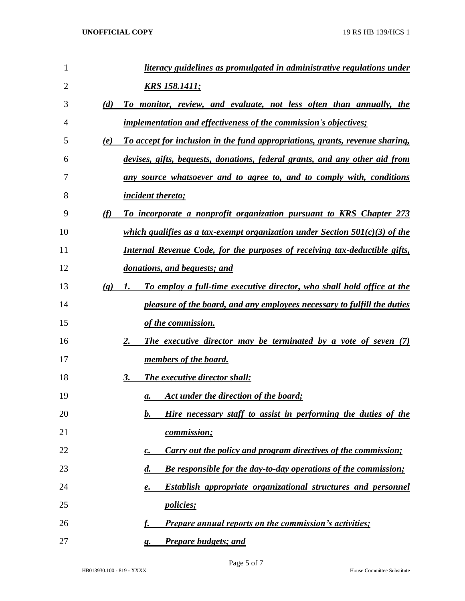| $\mathbf{1}$ |                             | literacy guidelines as promulgated in administrative regulations under                              |
|--------------|-----------------------------|-----------------------------------------------------------------------------------------------------|
| 2            |                             | <u>KRS 158.1411;</u>                                                                                |
| 3            | (d)                         | To monitor, review, and evaluate, not less often than annually, the                                 |
| 4            |                             | <i>implementation and effectiveness of the commission's objectives;</i>                             |
| 5            | (e)                         | To accept for inclusion in the fund appropriations, grants, revenue sharing,                        |
| 6            |                             | devises, gifts, bequests, donations, federal grants, and any other aid from                         |
| 7            |                             | any source whatsoever and to agree to, and to comply with, conditions                               |
| 8            |                             | <i><u><b>incident thereto;</b></u></i>                                                              |
| 9            | (f)                         | To incorporate a nonprofit organization pursuant to KRS Chapter 273                                 |
| 10           |                             | which qualifies as a tax-exempt organization under Section $501(c)(3)$ of the                       |
| 11           |                             | Internal Revenue Code, for the purposes of receiving tax-deductible gifts,                          |
| 12           |                             | donations, and bequests; and                                                                        |
| 13           | $\left( \mathbf{g} \right)$ | To employ a full-time executive director, who shall hold office at the<br>1.                        |
| 14           |                             | pleasure of the board, and any employees necessary to fulfill the duties                            |
| 15           |                             | of the commission.                                                                                  |
| 16           |                             | The executive director may be terminated by a vote of seven (7)<br>2.                               |
| 17           |                             | <u>members of the board.</u>                                                                        |
| 18           |                             | The executive director shall:<br>3.                                                                 |
| 19           |                             | Act under the direction of the board;<br>а.                                                         |
| 20           |                             | Hire necessary staff to assist in performing the duties of the<br>$\mathbf{b}$ .                    |
| 21           |                             | <i>commission</i> ;                                                                                 |
| 22           |                             | <b>Carry out the policy and program directives of the commission;</b><br>$\mathcal{C}$ .            |
| 23           |                             | $\boldsymbol{d}$ .<br><b>Be responsible for the day-to-day operations of the commission;</b>        |
| 24           |                             | Establish appropriate organizational structures and personnel<br>$\mathbf{\underline{\mathit{e.}}}$ |
| 25           |                             | <i>policies</i> ;                                                                                   |
| 26           |                             | <b>Prepare annual reports on the commission's activities;</b>                                       |
| 27           |                             | <b>Prepare budgets; and</b><br>g.                                                                   |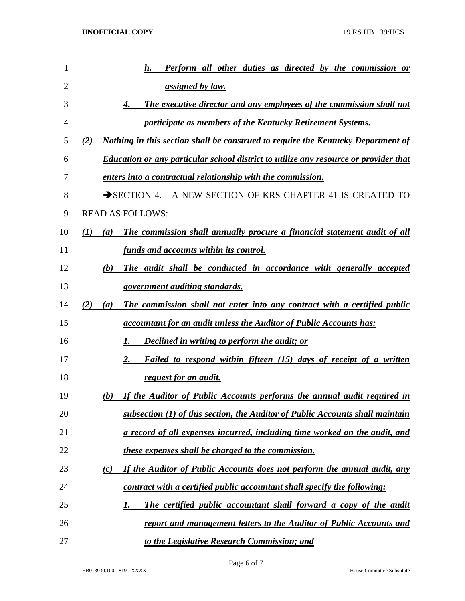| 1              |     |     | <b>Perform all other duties as directed by the commission or</b><br>h.                      |
|----------------|-----|-----|---------------------------------------------------------------------------------------------|
| $\overline{2}$ |     |     | <i><u>assigned by law.</u></i>                                                              |
| 3              |     |     | The executive director and any employees of the commission shall not<br>4.                  |
| 4              |     |     | participate as members of the Kentucky Retirement Systems.                                  |
| 5              | (2) |     | <u>Nothing in this section shall be construed to require the Kentucky Department of</u>     |
| 6              |     |     | <b>Education or any particular school district to utilize any resource or provider that</b> |
| 7              |     |     | enters into a contractual relationship with the commission.                                 |
| 8              |     |     | A NEW SECTION OF KRS CHAPTER 41 IS CREATED TO<br>$\rightarrow$ SECTION 4.                   |
| 9              |     |     | <b>READ AS FOLLOWS:</b>                                                                     |
| 10             | (I) | (a) | The commission shall annually procure a financial statement audit of all                    |
| 11             |     |     | funds and accounts within its control.                                                      |
| 12             |     | (b) | The audit shall be conducted in accordance with generally accepted                          |
| 13             |     |     | <u>government auditing standards.</u>                                                       |
| 14             | (2) | (a) | The commission shall not enter into any contract with a certified public                    |
| 15             |     |     | accountant for an audit unless the Auditor of Public Accounts has:                          |
| 16             |     |     | <b>Declined in writing to perform the audit; or</b><br>1.                                   |
| 17             |     |     | Failed to respond within fifteen (15) days of receipt of a written<br>2.                    |
| 18             |     |     | <u>request for an audit.</u>                                                                |
| 19             |     | (b) | If the Auditor of Public Accounts performs the annual audit required in                     |
| 20             |     |     | subsection (1) of this section, the Auditor of Public Accounts shall maintain               |
| 21             |     |     | <u>a record of all expenses incurred, including time worked on the audit, and</u>           |
| 22             |     |     | these expenses shall be charged to the commission.                                          |
| 23             |     | (c) | If the Auditor of Public Accounts does not perform the annual audit, any                    |
| 24             |     |     | contract with a certified public accountant shall specify the following:                    |
| 25             |     |     | The certified public accountant shall forward a copy of the audit<br>1.                     |
| 26             |     |     | report and management letters to the Auditor of Public Accounts and                         |
| 27             |     |     | to the Legislative Research Commission; and                                                 |